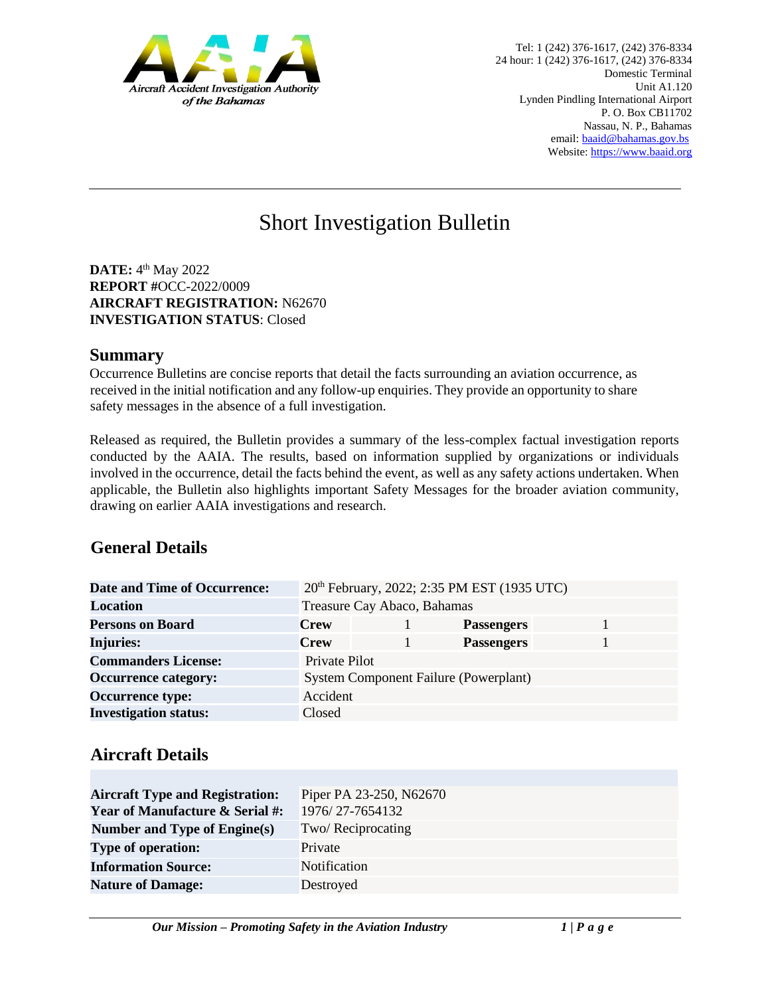

# Short Investigation Bulletin

**DATE:** 4<sup>th</sup> May 2022 **REPORT #**OCC-2022/0009 **AIRCRAFT REGISTRATION:** N62670 **INVESTIGATION STATUS**: Closed

#### **Summary**

Occurrence Bulletins are concise reports that detail the facts surrounding an aviation occurrence, as received in the initial notification and any follow-up enquiries. They provide an opportunity to share safety messages in the absence of a full investigation*.* 

Released as required, the Bulletin provides a summary of the less-complex factual investigation reports conducted by the AAIA. The results, based on information supplied by organizations or individuals involved in the occurrence, detail the facts behind the event, as well as any safety actions undertaken. When applicable, the Bulletin also highlights important Safety Messages for the broader aviation community, drawing on earlier AAIA investigations and research.

### **General Details**

| <b>Date and Time of Occurrence:</b> | 20 <sup>th</sup> February, 2022; 2:35 PM EST (1935 UTC) |  |                   |  |
|-------------------------------------|---------------------------------------------------------|--|-------------------|--|
| Location                            | Treasure Cay Abaco, Bahamas                             |  |                   |  |
| <b>Persons on Board</b>             | <b>Crew</b>                                             |  | <b>Passengers</b> |  |
| <b>Injuries:</b>                    | <b>Crew</b>                                             |  | <b>Passengers</b> |  |
| <b>Commanders License:</b>          | Private Pilot                                           |  |                   |  |
| <b>Occurrence category:</b>         | <b>System Component Failure (Powerplant)</b>            |  |                   |  |
| <b>Occurrence type:</b>             | Accident                                                |  |                   |  |
| <b>Investigation status:</b>        | Closed                                                  |  |                   |  |

# **Aircraft Details**

| Piper PA 23-250, N62670 |  |  |
|-------------------------|--|--|
| 1976/27-7654132         |  |  |
| Two/Reciprocating       |  |  |
| Private                 |  |  |
| <b>Notification</b>     |  |  |
| Destroyed               |  |  |
|                         |  |  |